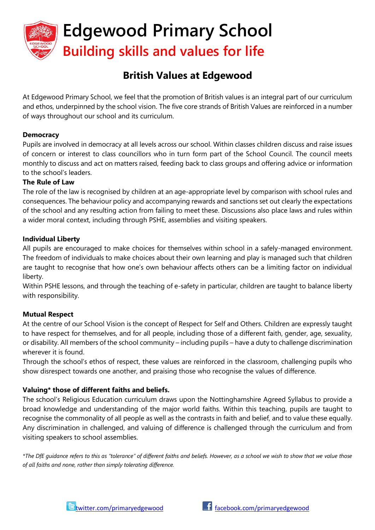

# **British Values at Edgewood**

At Edgewood Primary School, we feel that the promotion of British values is an integral part of our curriculum and ethos, underpinned by the school vision. The five core strands of British Values are reinforced in a number of ways throughout our school and its curriculum.

#### **Democracy**

Pupils are involved in democracy at all levels across our school. Within classes children discuss and raise issues of concern or interest to class councillors who in turn form part of the School Council. The council meets monthly to discuss and act on matters raised, feeding back to class groups and offering advice or information to the school's leaders.

#### **The Rule of Law**

The role of the law is recognised by children at an age-appropriate level by comparison with school rules and consequences. The behaviour policy and accompanying rewards and sanctions set out clearly the expectations of the school and any resulting action from failing to meet these. Discussions also place laws and rules within a wider moral context, including through PSHE, assemblies and visiting speakers.

#### **Individual Liberty**

All pupils are encouraged to make choices for themselves within school in a safely-managed environment. The freedom of individuals to make choices about their own learning and play is managed such that children are taught to recognise that how one's own behaviour affects others can be a limiting factor on individual liberty.

Within PSHE lessons, and through the teaching of e-safety in particular, children are taught to balance liberty with responsibility.

# **Mutual Respect**

At the centre of our School Vision is the concept of Respect for Self and Others. Children are expressly taught to have respect for themselves, and for all people, including those of a different faith, gender, age, sexuality, or disability. All members of the school community – including pupils – have a duty to challenge discrimination wherever it is found.

Through the school's ethos of respect, these values are reinforced in the classroom, challenging pupils who show disrespect towards one another, and praising those who recognise the values of difference.

# **Valuing\* those of different faiths and beliefs.**

The school's Religious Education curriculum draws upon the Nottinghamshire Agreed Syllabus to provide a broad knowledge and understanding of the major world faiths. Within this teaching, pupils are taught to recognise the commonality of all people as well as the contrasts in faith and belief, and to value these equally. Any discrimination in challenged, and valuing of difference is challenged through the curriculum and from visiting speakers to school assemblies.

*\*The DfE guidance refers to this as "tolerance" of different faiths and beliefs. However, as a school we wish to show that we value those of all faiths and none, rather than simply tolerating difference.*